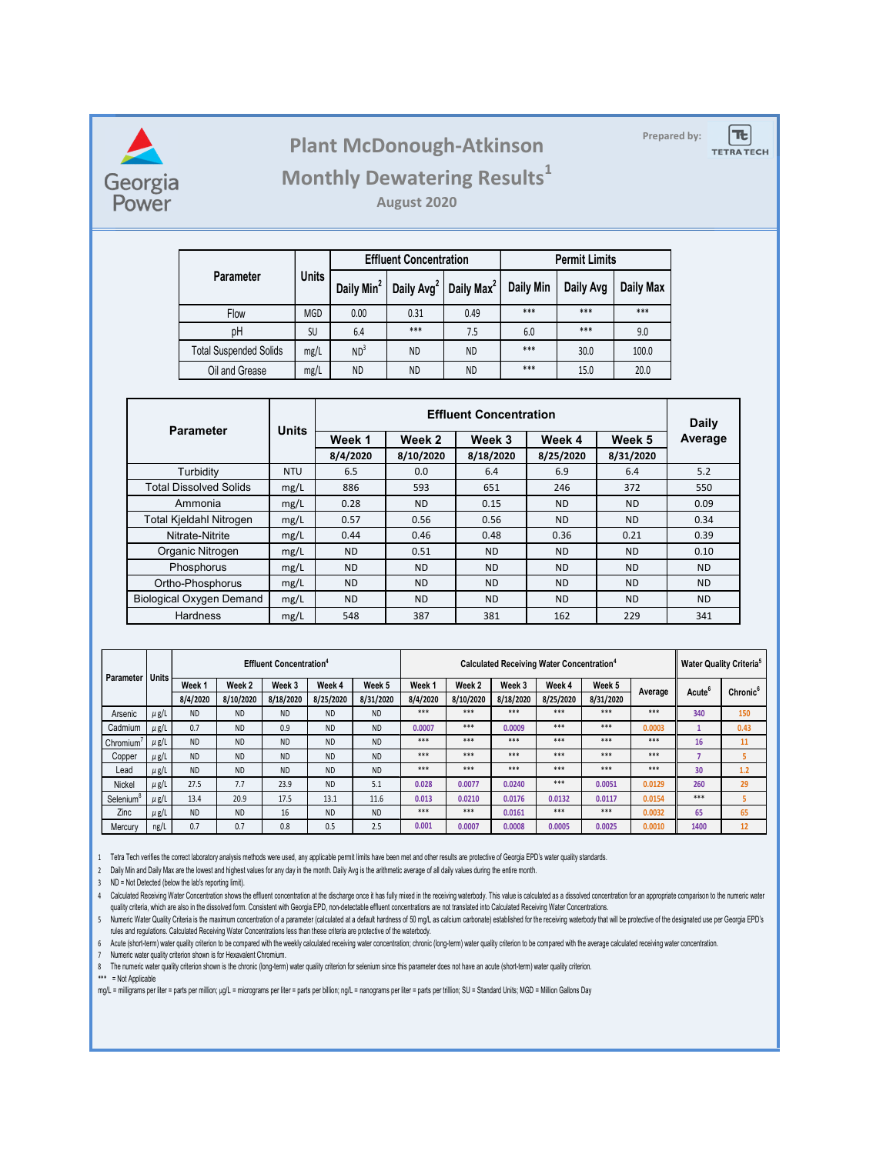

# **Prepared by: Plant McDonough-Atkinson**

Ιæ

**TETRATECH** 

# **Monthly Dewatering Results<sup>1</sup>**

**August 2020**

|                               |              |                        | <b>Effluent Concentration</b> |                        | <b>Permit Limits</b> |           |           |  |
|-------------------------------|--------------|------------------------|-------------------------------|------------------------|----------------------|-----------|-----------|--|
| Parameter                     | <b>Units</b> | Daily Min <sup>2</sup> | Daily Avg <sup>2</sup>        | Daily Max <sup>2</sup> | Daily Min            | Daily Avg | Daily Max |  |
| <b>Flow</b>                   | <b>MGD</b>   | 0.00                   | 0.31                          | 0.49                   | $***$<br>$***$       |           | ***       |  |
| pH                            | <b>SU</b>    | 6.4                    | ***                           | 7.5                    | 6.0                  | $***$     | 9.0       |  |
| <b>Total Suspended Solids</b> | mg/L         | ND <sup>3</sup>        | <b>ND</b>                     | <b>ND</b>              | $***$                | 30.0      | 100.0     |  |
| Oil and Grease<br>mg/L        |              | <b>ND</b>              | <b>ND</b>                     | <b>ND</b>              | $***$                | 15.0      | 20.0      |  |

| <b>Parameter</b>                | <b>Units</b> |           | Daily     |           |           |           |           |
|---------------------------------|--------------|-----------|-----------|-----------|-----------|-----------|-----------|
|                                 |              | Week 1    | Week 2    | Week 3    | Week 4    | Week 5    | Average   |
|                                 |              | 8/4/2020  | 8/10/2020 | 8/18/2020 | 8/25/2020 | 8/31/2020 |           |
| Turbidity                       | <b>NTU</b>   | 6.5       | 0.0       | 6.4       | 6.9       | 6.4       | 5.2       |
| <b>Total Dissolved Solids</b>   | mg/L         | 886       | 593       | 651       | 246       | 372       | 550       |
| Ammonia                         | mg/L         | 0.28      | <b>ND</b> | 0.15      | <b>ND</b> | <b>ND</b> | 0.09      |
| Total Kjeldahl Nitrogen         | mg/L         | 0.57      | 0.56      | 0.56      | <b>ND</b> | <b>ND</b> | 0.34      |
| Nitrate-Nitrite                 | mg/L         | 0.44      | 0.46      | 0.48      | 0.36      | 0.21      | 0.39      |
| Organic Nitrogen                | mg/L         | <b>ND</b> | 0.51      | <b>ND</b> | <b>ND</b> | <b>ND</b> | 0.10      |
| Phosphorus                      | mg/L         | <b>ND</b> | <b>ND</b> | <b>ND</b> | <b>ND</b> | <b>ND</b> | <b>ND</b> |
| Ortho-Phosphorus                | mg/L         | <b>ND</b> | <b>ND</b> | <b>ND</b> | <b>ND</b> | <b>ND</b> | <b>ND</b> |
| <b>Biological Oxygen Demand</b> | mg/L         | <b>ND</b> | <b>ND</b> | <b>ND</b> | <b>ND</b> | <b>ND</b> | <b>ND</b> |
| Hardness                        | mg/L         | 548       | 387       | 381       | 162       | 229       | 341       |

| Parameter             | <b>Units</b> | <b>Effluent Concentration<sup>4</sup></b> |           |           |                             |           |                  | <b>Calculated Receiving Water Concentration<sup>4</sup></b> |           |           |           |                      |                    | <b>Water Quality Criteria<sup>5</sup></b> |  |
|-----------------------|--------------|-------------------------------------------|-----------|-----------|-----------------------------|-----------|------------------|-------------------------------------------------------------|-----------|-----------|-----------|----------------------|--------------------|-------------------------------------------|--|
|                       |              | Week <sub>1</sub><br>Week <sub>2</sub>    | Week 3    | Week 4    | Week 5<br>Week <sub>1</sub> | Week 2    | Week 3<br>Week 4 |                                                             | Week 5    |           |           | Chronic <sup>6</sup> |                    |                                           |  |
|                       |              | 8/4/2020                                  | 8/10/2020 | 8/18/2020 | 8/25/2020                   | 8/31/2020 | 8/4/2020         | 8/10/2020                                                   | 8/18/2020 | 8/25/2020 | 8/31/2020 | Average              | Acute <sup>6</sup> |                                           |  |
| Arsenic               | $\mu$ g/L    | <b>ND</b>                                 | <b>ND</b> | <b>ND</b> | <b>ND</b>                   | <b>ND</b> | ***              | ***                                                         | ***       | ***       | ***       | ***                  | 340                | 150                                       |  |
| Cadmium               | $\mu$ g/L    | 0.7                                       | <b>ND</b> | 0.9       | <b>ND</b>                   | <b>ND</b> | 0.0007           | ***                                                         | 0.0009    | ***       | ***       | 0.0003               |                    | 0.43                                      |  |
| Chromium <sup>®</sup> | $\mu$ g/L    | <b>ND</b>                                 | <b>ND</b> | <b>ND</b> | <b>ND</b>                   | <b>ND</b> | ***              | ***                                                         | ***       | ***       | ***       | ***                  | 16                 | 11                                        |  |
| Copper                | $\mu$ g/L    | <b>ND</b>                                 | <b>ND</b> | <b>ND</b> | <b>ND</b>                   | <b>ND</b> | ***              | ***                                                         | ***       | ***       | ***       | ***                  |                    | 5                                         |  |
| Lead                  | $\mu$ g/L    | <b>ND</b>                                 | <b>ND</b> | <b>ND</b> | <b>ND</b>                   | <b>ND</b> | ***              | ***                                                         | ***       | ***       | ***       | ***                  | 30                 | 1.2                                       |  |
| Nickel                | $\mu$ g/L    | 27.5                                      | 7.7       | 23.9      | <b>ND</b>                   | 5.1       | 0.028            | 0.0077                                                      | 0.0240    | ***       | 0.0051    | 0.0129               | 260                | 29                                        |  |
| Selenium              | $\mu$ g/L    | 13.4                                      | 20.9      | 17.5      | 13.1                        | 11.6      | 0.013            | 0.0210                                                      | 0.0176    | 0.0132    | 0.0117    | 0.0154               | ***                |                                           |  |
| Zinc                  | $\mu$ g/L    | <b>ND</b>                                 | <b>ND</b> | 16        | <b>ND</b>                   | <b>ND</b> | ***              | $***$                                                       | 0.0161    | ***       | ***       | 0.0032               | 65                 | 65                                        |  |
| Mercury               | ng/L         | 0.7                                       | 0.7       | 0.8       | 0.5                         | 2.5       | 0.001            | 0.0007                                                      | 0.0008    | 0.0005    | 0.0025    | 0.0010               | 1400               | 12                                        |  |

1 Tetra Tech verifies the correct laboratory analysis methods were used, any applicable permit limits have been met and other results are protective of Georgia EPD's water quality standards.

2 Daily Min and Daily Max are the lowest and highest values for any day in the month. Daily Avg is the arithmetic average of all daily values during the entire month.

3 ND = Not Detected (below the lab's reporting limit).

4 Calculated Receiving Water Concentration shows the effluent concentration at the discharge once it has fully mixed in the receiving waterbody. This value is calculated as a dissolved concentration for an appropriate comp quality criteria, which are also in the dissolved form. Consistent with Georgia EPD, non-detectable effluent concentrations are not translated into Calculated Receiving Water Concentrations.

5 Numeric water Quality Criteria is the maximum concentration of a parameter (calculated at a default nardness of 50 mg/L as calcium carbonate) established for the receiving waterbody that will be protective of the designa rules and regulations. Calculated Receiving Water Concentrations less than these criteria are protective of the waterbody.

6 Acute (short-term) water quality criterion to be compared with the weekly calculated receiving water concentration; chronic (long-term) water quality criterion to be compared with the average calculated receiving water c

7 Numeric water quality criterion shown is for Hexavalent Chromium.

8 The numeric water quality criterion shown is the chronic (long-term) water quality criterion for selenium since this parameter does not have an acute (short-term) water quality criterion.

\*\*\* = Not Applicable

mg/L = milligrams per liter = parts per million; µg/L = micrograms per liter = parts per billion; ng/L = nanograms per liter = parts per trillion; SU = Standard Units; MGD = Million Gallons Day